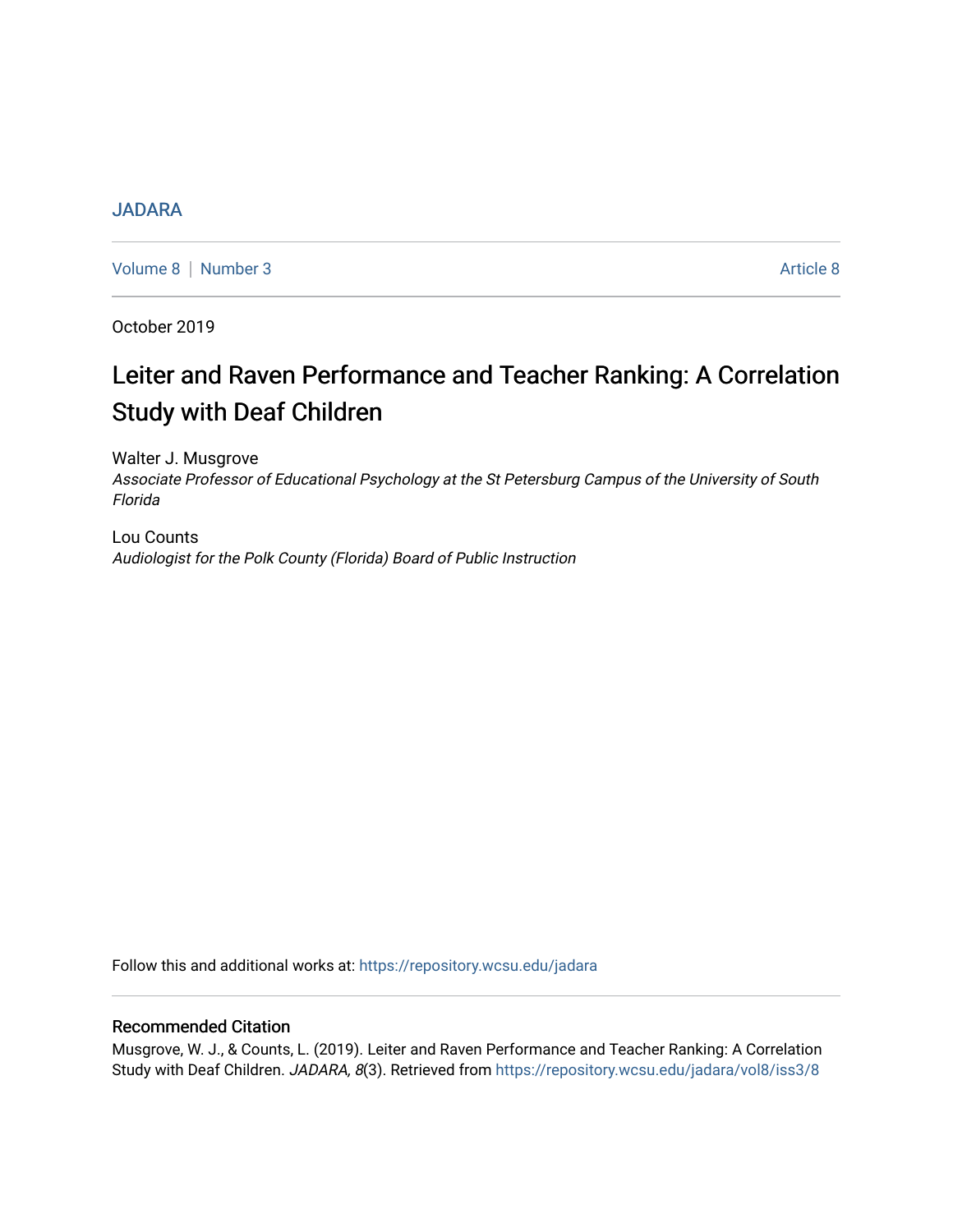# [JADARA](https://repository.wcsu.edu/jadara)

[Volume 8](https://repository.wcsu.edu/jadara/vol8) | [Number 3](https://repository.wcsu.edu/jadara/vol8/iss3) Article 8

October 2019

# Leiter and Raven Performance and Teacher Ranking: A Correlation Study with Deaf Children

Walter J. Musgrove Associate Professor of Educational Psychology at the St Petersburg Campus of the University of South Florida

Lou Counts Audiologist for the Polk County (Florida) Board of Public Instruction

Follow this and additional works at: [https://repository.wcsu.edu/jadara](https://repository.wcsu.edu/jadara?utm_source=repository.wcsu.edu%2Fjadara%2Fvol8%2Fiss3%2F8&utm_medium=PDF&utm_campaign=PDFCoverPages)

# Recommended Citation

Musgrove, W. J., & Counts, L. (2019). Leiter and Raven Performance and Teacher Ranking: A Correlation Study with Deaf Children. JADARA, 8(3). Retrieved from [https://repository.wcsu.edu/jadara/vol8/iss3/8](https://repository.wcsu.edu/jadara/vol8/iss3/8?utm_source=repository.wcsu.edu%2Fjadara%2Fvol8%2Fiss3%2F8&utm_medium=PDF&utm_campaign=PDFCoverPages)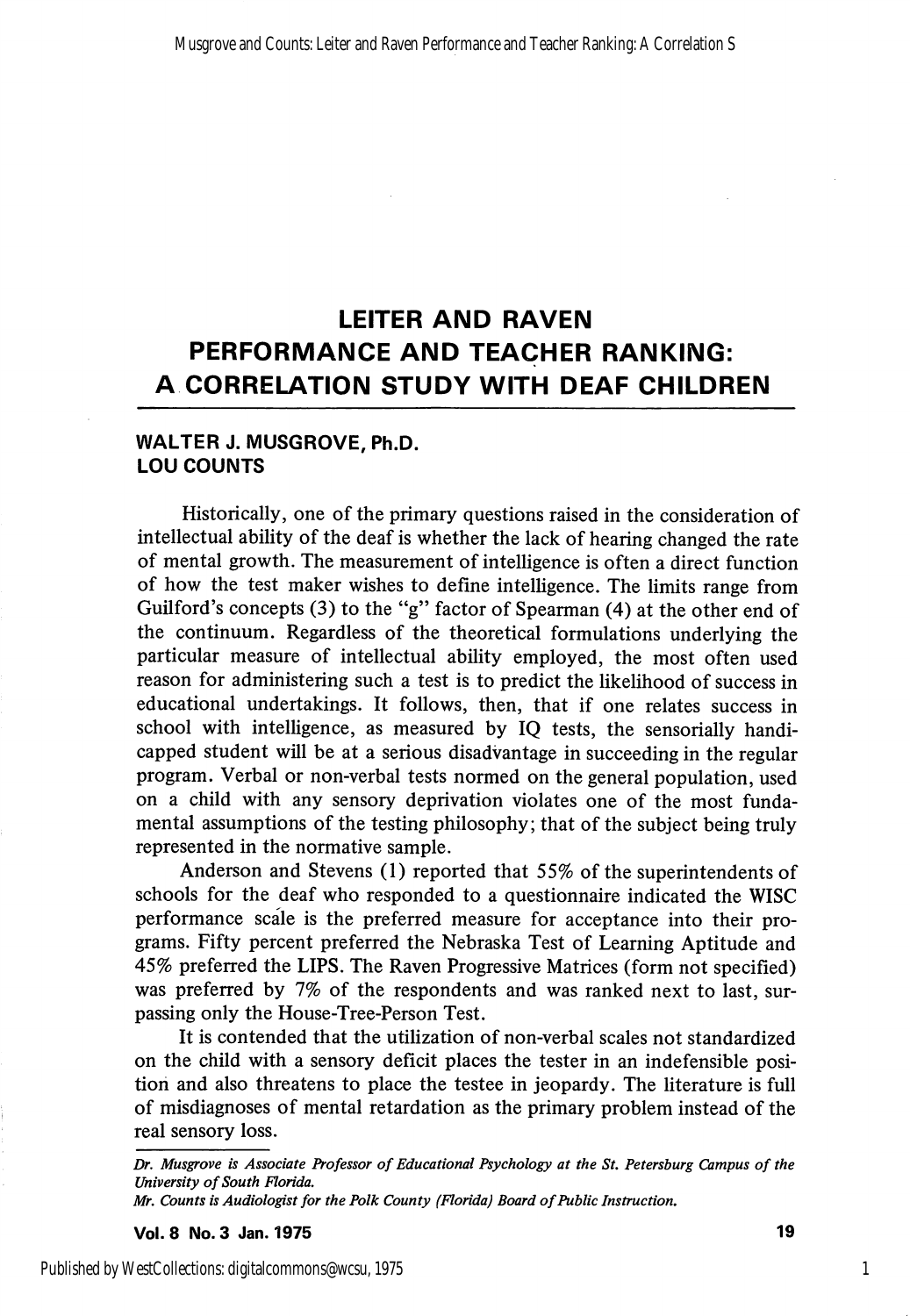# LEITER AND RAVEN PERFORMANCE AND TEACHER RANKING: A CORRELATION STUDY WITH DEAF CHILDREN

# WALTER J. MUSGROVE, Ph.D. LOU COUNTS

Historically, one of the primary questions raised in the consideration of intellectual ability of the deaf is whether the lack of hearing changed the rate of mental growth. The measurement of intelligence is often a direct function of how the test maker wishes to define intelhgence. The limits range from Guilford's concepts (3) to the "g" factor of Spearman (4) at the other end of the continuum. Regardless of the theoretical formulations underlying the particular measure of intellectual ability employed, the most often used reason for administering such a test is to predict the likelihood of success in educational undertakings. It follows, then, that if one relates success in school with intelligence, as measured by IQ tests, the sensorially handi capped student will be at a serious disadvantage in succeeding in the regular program. Verbal or non-verbal tests normed on the general population, used on a child with any sensory deprivation violates one of the most funda mental assumptions of the testing philosophy; that of the subject being truly represented in the normative sample.

Anderson and Stevens (1) reported that 55% of the superintendents of schools for the deaf who responded to a questionnaire indicated the WISC performance scale is the preferred measure for acceptance into their pro grams. Fifty percent preferred the Nebraska Test of Learning Aptitude and 45% preferred the LIPS. The Raven Progressive Matrices (form not specified) was preferred by 7% of the respondents and was ranked next to last, surpassing only the House-Tree-Person Test.

It is contended that the utilization of non-verbal scales not standardized on the child with a sensory deficit places the tester in an indefensible posi tion and also threatens to place the testee in jeopardy. The literature is full of misdiagnoses of mental retardation as the primary problem instead of the real sensory loss.

Vol.8 No. 3 Jan. 1975 19

Dr, Musgrove is Associate Professor of Educational Psychology at the St, Petersburg Campus of the University of South Florida.

Mr. Counts is Audiologist for the Polk County (Florida) Board of Public Instruction.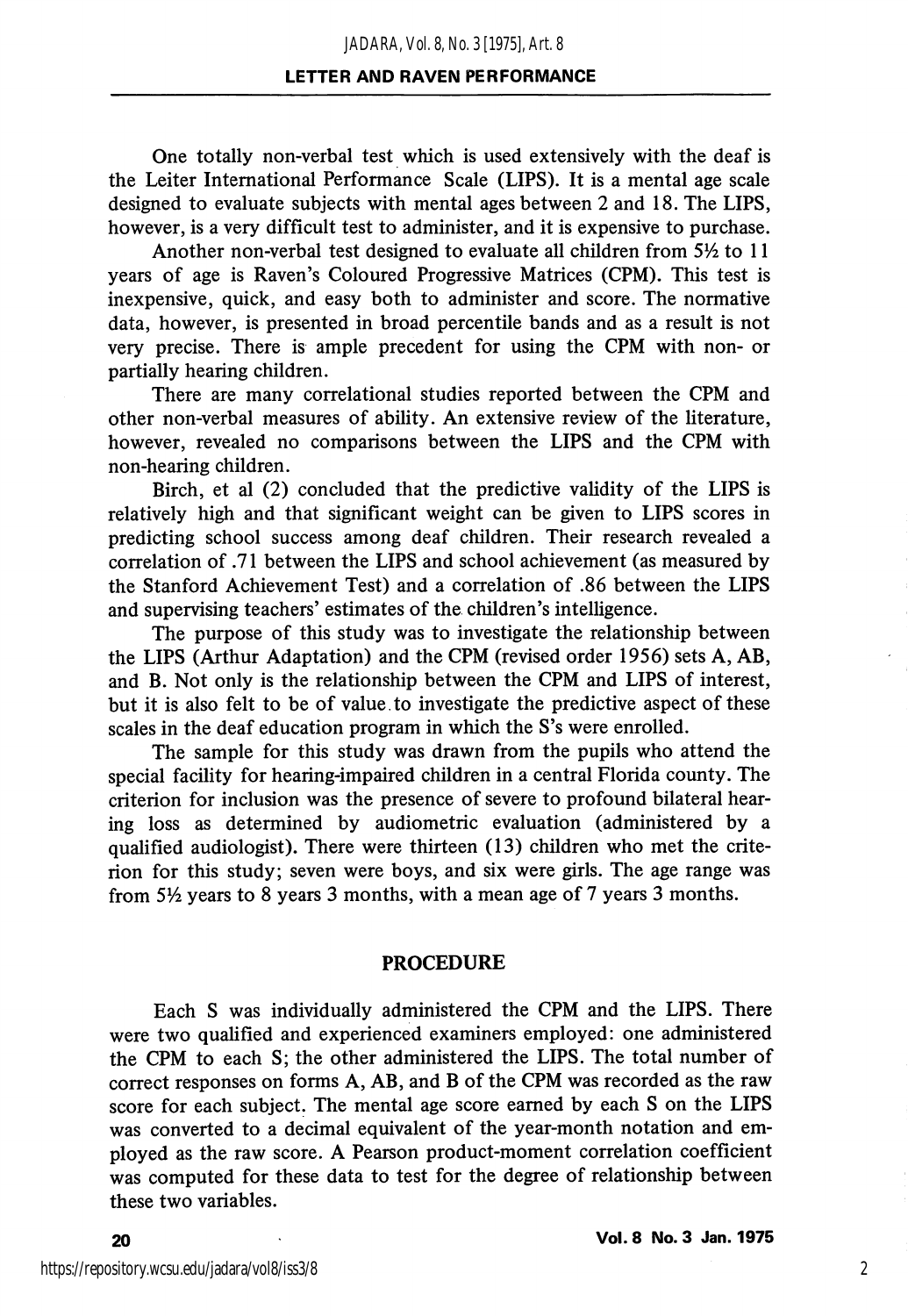#### LETTER AND RAVEN PERFORMANCE

One totally non-verbal test which is used extensively with the deaf is the Leiter International Performance Scale (LIPS). It is a mental age scale designed to evaluate subjects with mental ages between 2 and 18. The LIPS, however, is a very difficult test to administer, and it is expensive to purchase.

Another non-verbal test designed to evaluate all children from  $5\frac{1}{2}$  to 11 years of age is Raven's Coloured Progressive Matrices (CPM). This test is inexpensive, quick, and easy both to administer and score. The normative data, however, is presented in broad percentile bands and as a result is not very precise. There is ample precedent for using the CPM with non- or partially hearing children.

There are many correlational studies reported between the CPM and other non-verbal measures of ability. An extensive review of the literature, however, revealed no comparisons between the LIPS and the CPM with non-hearing children.

Birch, et al (2) concluded that the predictive validity of the LIPS is relatively high and that significant weight can be given to LIPS scores in predicting school success among deaf children. Their research revealed a correlation of .71 between the LIPS and school achievement (as measured by the Stanford Achievement Test) and a correlation of .86 between the LIPS and supervising teachers' estimates of the children's intelligence.

The purpose of this study was to investigate the relationship between the LIPS (Arthur Adaptation) and the CPM (revised order 1956) sets A, AB, and B. Not only is the relationship between the CPM and LIPS of interest, but it is also felt to be of value to investigate the predictive aspect of these scales in the deaf education program in which the S's were enrolled.

The sample for this study was drawn from the pupils who attend the special facility for hearing-impaired children in a central Florida county. The criterion for inclusion was the presence of severe to profound bilateral hear ing loss as determined by audiometric evaluation (administered by a qualified audiologist). There were thirteen (13) children who met the crite rion for this study; seven were boys, and six were girls. The age range was from  $5\frac{1}{2}$  years to 8 years 3 months, with a mean age of 7 years 3 months.

#### PROCEDURE

Each S was individually administered the CPM and the LIPS. There were two qualified and experienced examiners employed: one administered the CPM to each S; the other administered the LIPS. The total number of correct responses on forms A, AB, and B of the CPM was recorded as the raw score for each subject. The mental age score earned by each S on the LIPS was converted to a decimal equivalent of the year-month notation and em ployed as the raw score. A Pearson product-moment correlation coefficient was computed for these data to test for the degree of relationship between these two variables.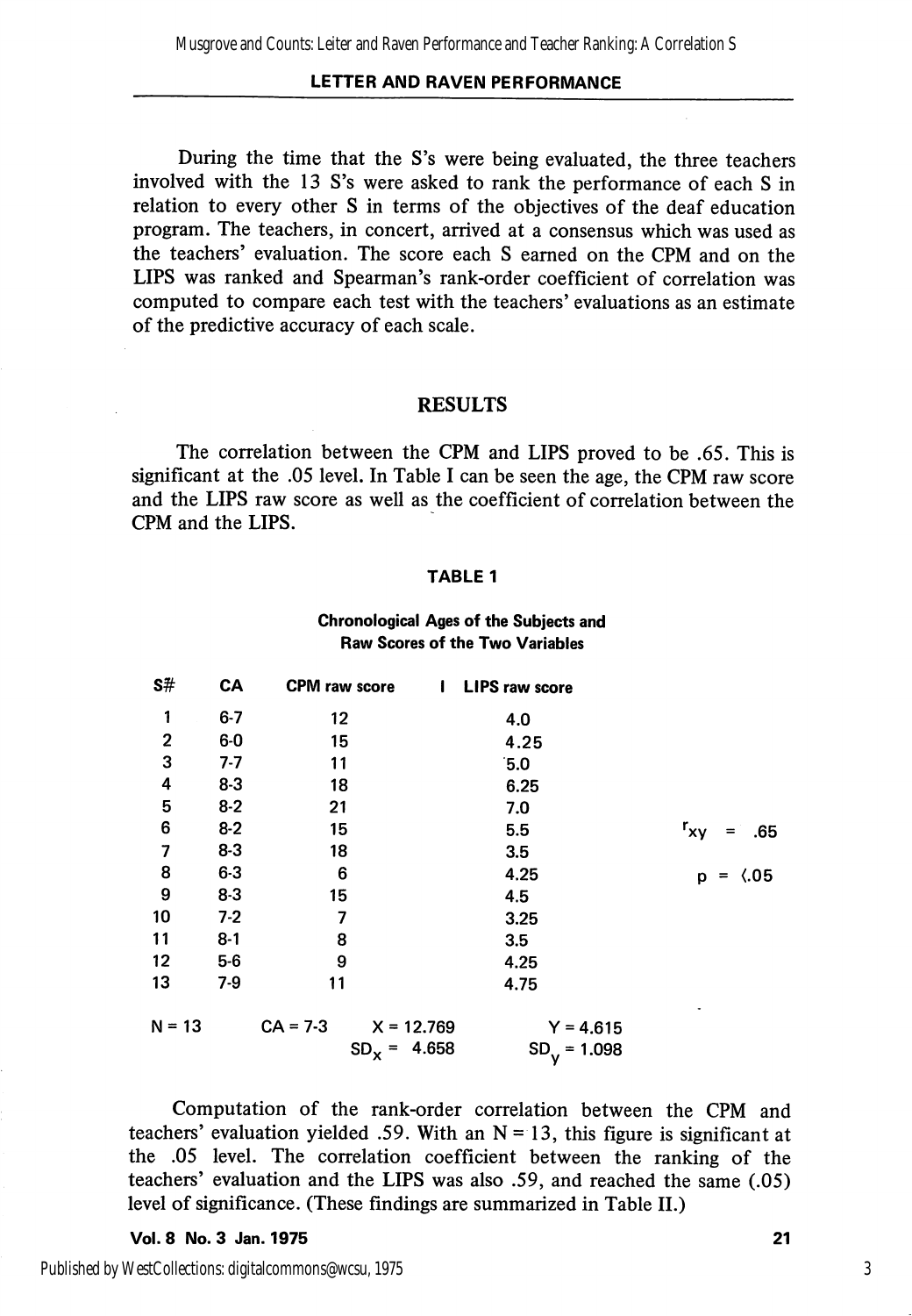#### LETTER AND RAVEN PERFORMANCE

During the time that the S's were being evaluated, the three teachers involved with the 13 S's were asked to rank the performance of each S in relation to every other S in terms of the objectives of the deaf education program. The teachers, in concert, arrived at a consensus which was used as the teachers' evaluation. The score each S earned on the CPM and on the LIPS was ranked and Spearman's rank-order coefficient of correlation was computed to compare each test with the teachers' evaluations as an estimate of the predictive accuracy of each scale.

#### RESULTS

The correlation between the CPM and LIPS proved to be .65. This is significant at the .05 level. In Table I can be seen the age, the CPM raw score and the LIPS raw score as well as the coefficient of correlation between the CPM and the LIPS.

#### TABLE 1

### Chronological Ages of the Subjects and Raw Scores of the Two Variables

| s#                      | CA      | <b>CPM</b> raw score       | <b>LIPS raw score</b><br>$\mathbf{I}$ |                                                                    |
|-------------------------|---------|----------------------------|---------------------------------------|--------------------------------------------------------------------|
| 1                       | $6 - 7$ | 12                         | 4.0                                   |                                                                    |
| $\overline{\mathbf{c}}$ | $6-0$   | 15                         | 4.25                                  |                                                                    |
| 3                       | $7 - 7$ | 11                         | 5.0                                   |                                                                    |
| 4                       | $8 - 3$ | 18                         | 6.25                                  |                                                                    |
| 5                       | $8-2$   | 21                         | 7.0                                   |                                                                    |
| 6                       | $8 - 2$ | 15                         | 5.5                                   | $r_{xy}$<br>.65<br>$=$                                             |
| 7                       | $8 - 3$ | 18                         | 3.5                                   |                                                                    |
| 8                       | $6 - 3$ | 6                          | 4.25                                  | $\langle .05$<br>p<br>$\displaystyle \qquad \qquad =\qquad \qquad$ |
| 9                       | $8 - 3$ | 15                         | 4.5                                   |                                                                    |
| 10                      | $7-2$   | 7                          | 3.25                                  |                                                                    |
| 11                      | $8 - 1$ | 8                          | 3.5                                   |                                                                    |
| 12                      | $5-6$   | 9                          | 4.25                                  |                                                                    |
| 13                      | $7-9$   | 11                         | 4.75                                  |                                                                    |
| $N = 13$                |         | $CA = 7-3$<br>$X = 12.769$ | $Y = 4.615$                           |                                                                    |
|                         |         | $SD_{x}$ =                 | 4.658<br>$SDy = 1.098$                |                                                                    |

Computation of the rank-order correlation between the CPM and teachers' evaluation yielded .59. With an  $N = 13$ , this figure is significant at the .05 level. The correlation coefficient between the ranking of the teachers' evaluation and the LIPS was also .59, and reached the same (.05) level of significance. (These findings are summarized in Table 11.)

Vol. 8 No. 3 Jan. 1975 21

Published by WestCollections: digitalcommons@wcsu, 1975